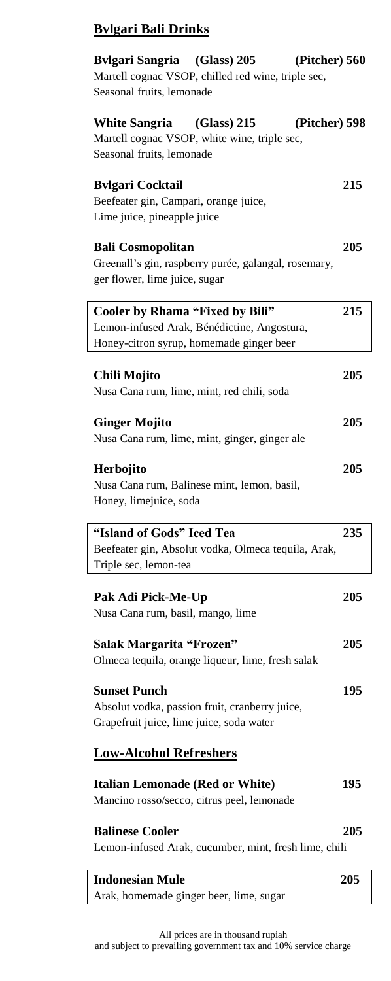### **Bvlgari Bali Drinks**

| Bylgari Sangria (Glass) 205<br>(Pitcher) 560            |     |
|---------------------------------------------------------|-----|
| Martell cognac VSOP, chilled red wine, triple sec,      |     |
| Seasonal fruits, lemonade                               |     |
| (Glass) 215<br>(Pitcher) 598<br>White Sangria           |     |
| Martell cognac VSOP, white wine, triple sec,            |     |
| Seasonal fruits, lemonade                               |     |
|                                                         |     |
| <b>Bvlgari Cocktail</b>                                 | 215 |
| Beefeater gin, Campari, orange juice,                   |     |
| Lime juice, pineapple juice                             |     |
| <b>Bali Cosmopolitan</b>                                | 205 |
| Greenall's gin, raspberry purée, galangal, rosemary,    |     |
| ger flower, lime juice, sugar                           |     |
|                                                         |     |
| Cooler by Rhama "Fixed by Bili"                         | 215 |
| Lemon-infused Arak, Bénédictine, Angostura,             |     |
| Honey-citron syrup, homemade ginger beer                |     |
|                                                         |     |
| Chili Mojito                                            | 205 |
| Nusa Cana rum, lime, mint, red chili, soda              |     |
| <b>Ginger Mojito</b>                                    | 205 |
| Nusa Cana rum, lime, mint, ginger, ginger ale           |     |
|                                                         |     |
| Herbojito                                               | 205 |
| Nusa Cana rum, Balinese mint, lemon, basil,             |     |
| Honey, limejuice, soda                                  |     |
|                                                         |     |
| "Island of Gods" Iced Tea                               | 235 |
| Beefeater gin, Absolut vodka, Olmeca tequila, Arak,     |     |
| Triple sec, lemon-tea                                   |     |
|                                                         |     |
| Pak Adi Pick-Me-Up<br>Nusa Cana rum, basil, mango, lime | 205 |
|                                                         |     |
| Salak Margarita "Frozen"                                | 205 |
| Olmeca tequila, orange liqueur, lime, fresh salak       |     |
|                                                         |     |
| <b>Sunset Punch</b>                                     | 195 |
| Absolut vodka, passion fruit, cranberry juice,          |     |
| Grapefruit juice, lime juice, soda water                |     |
|                                                         |     |
| <b>Low-Alcohol Refreshers</b>                           |     |
| <b>Italian Lemonade (Red or White)</b>                  | 195 |
| Mancino rosso/secco, citrus peel, lemonade              |     |
|                                                         |     |
| <b>Balinese Cooler</b>                                  | 205 |
| Lemon-infused Arak, cucumber, mint, fresh lime, chili   |     |
|                                                         |     |
| <b>Indonesian Mule</b>                                  | 205 |

All prices are in thousand rupiah and subject to prevailing government tax and 10% service charge

Arak, homemade ginger beer, lime, sugar

 $\overline{\phantom{a}}$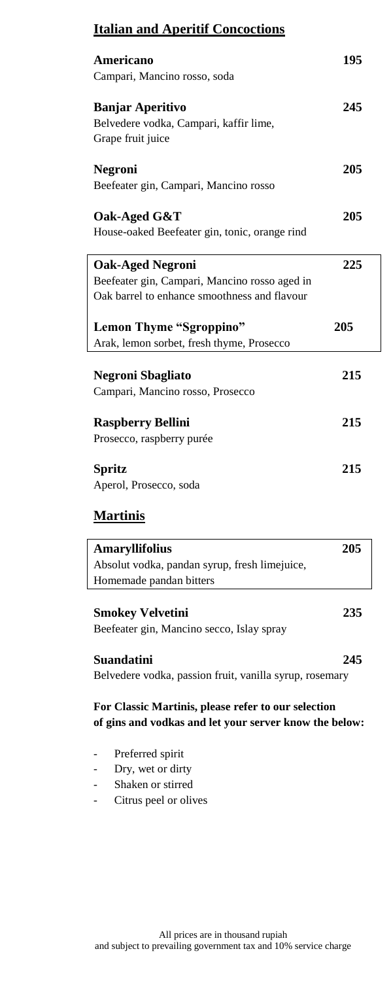### **Italian and Aperitif Concoctions**

| Americano<br>Campari, Mancino rosso, soda                                                                                | 195 |
|--------------------------------------------------------------------------------------------------------------------------|-----|
| <b>Banjar Aperitivo</b><br>Belvedere vodka, Campari, kaffir lime,<br>Grape fruit juice                                   | 245 |
| <b>Negroni</b><br>Beefeater gin, Campari, Mancino rosso                                                                  | 205 |
| Oak-Aged G&T<br>House-oaked Beefeater gin, tonic, orange rind                                                            | 205 |
| <b>Oak-Aged Negroni</b><br>Beefeater gin, Campari, Mancino rosso aged in<br>Oak barrel to enhance smoothness and flavour | 225 |
| Lemon Thyme "Sgroppino"<br>Arak, lemon sorbet, fresh thyme, Prosecco                                                     | 205 |
| <b>Negroni Sbagliato</b><br>Campari, Mancino rosso, Prosecco                                                             | 215 |
| <b>Raspberry Bellini</b><br>Prosecco, raspberry purée                                                                    | 215 |
| <b>Spritz</b><br>Aperol, Prosecco, soda                                                                                  | 215 |

### **Martinis**

| <b>Amaryllifolius</b>                                                        | 205 |
|------------------------------------------------------------------------------|-----|
| Absolut vodka, pandan syrup, fresh limejuice,                                |     |
| Homemade pandan bitters                                                      |     |
| <b>Smokey Velvetini</b><br>Beefeater gin, Mancino secco, Islay spray         | 235 |
| <b>Suandatini</b><br>Belvedere vodka, passion fruit, vanilla syrup, rosemary | 245 |

**For Classic Martinis, please refer to our selection of gins and vodkas and let your server know the below:**

- Preferred spirit
- Dry, wet or dirty
- Shaken or stirred
- Citrus peel or olives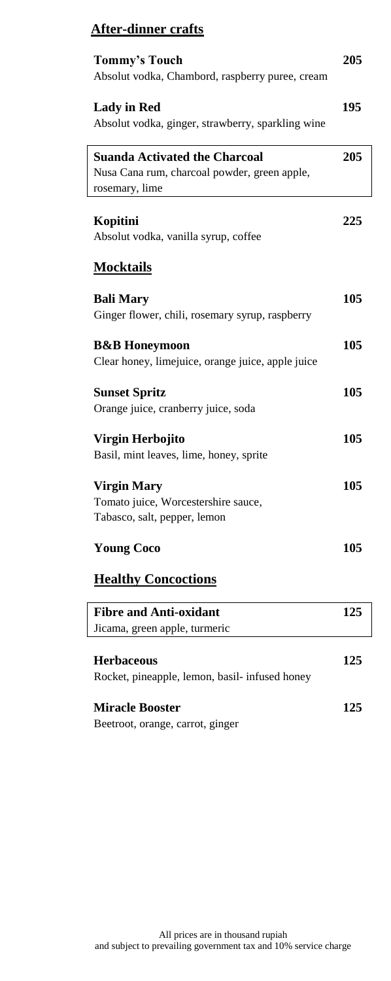# **After-dinner crafts**

| <b>Tommy's Touch</b><br>Absolut vodka, Chambord, raspberry puree, cream                                | 205 |
|--------------------------------------------------------------------------------------------------------|-----|
| <b>Lady in Red</b><br>Absolut vodka, ginger, strawberry, sparkling wine                                | 195 |
| <b>Suanda Activated the Charcoal</b><br>Nusa Cana rum, charcoal powder, green apple,<br>rosemary, lime | 205 |
| Kopitini<br>Absolut vodka, vanilla syrup, coffee                                                       | 225 |
| <b>Mocktails</b>                                                                                       |     |
| <b>Bali Mary</b><br>Ginger flower, chili, rosemary syrup, raspberry                                    | 105 |
| <b>B&amp;B</b> Honeymoon<br>Clear honey, limejuice, orange juice, apple juice                          | 105 |
| <b>Sunset Spritz</b><br>Orange juice, cranberry juice, soda                                            | 105 |
| Virgin Herbojito<br>Basil, mint leaves, lime, honey, sprite                                            | 105 |
| <b>Virgin Mary</b><br>Tomato juice, Worcestershire sauce,<br>Tabasco, salt, pepper, lemon              | 105 |
| <b>Young Coco</b>                                                                                      | 105 |
| <b>Healthy Concoctions</b>                                                                             |     |
| <b>Fibre and Anti-oxidant</b><br>Jicama, green apple, turmeric                                         | 125 |
| <b>Herbaceous</b><br>Rocket, pineapple, lemon, basil- infused honey                                    | 125 |
| <b>Miracle Booster</b><br>Beetroot, orange, carrot, ginger                                             | 125 |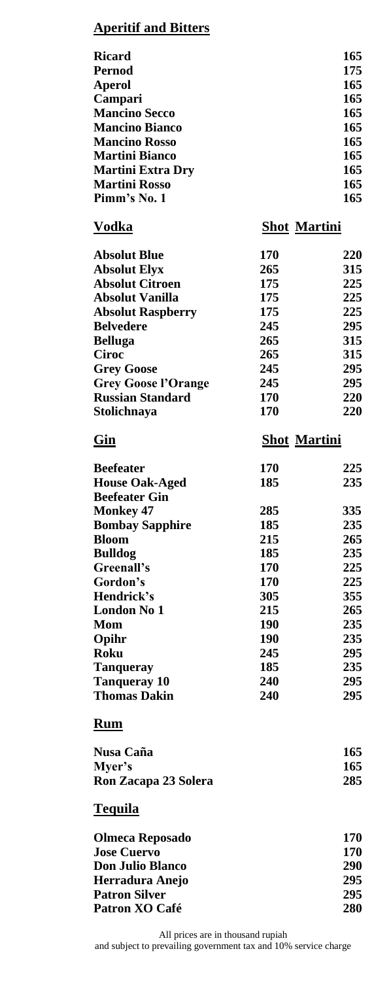#### **Aperitif and Bitters**

| <b>Ricard</b>            | 165 |
|--------------------------|-----|
| Pernod                   | 175 |
| <b>Aperol</b>            | 165 |
| Campari                  | 165 |
| <b>Mancino Secco</b>     | 165 |
| <b>Mancino Bianco</b>    | 165 |
| <b>Mancino Rosso</b>     | 165 |
| <b>Martini Bianco</b>    | 165 |
| <b>Martini Extra Dry</b> | 165 |
| <b>Martini Rosso</b>     | 165 |
| Pimm's No. 1             | 165 |
|                          |     |

#### **Vodka Shot Martini**

| <b>Absolut Blue</b>        | 170 | 220 |
|----------------------------|-----|-----|
| <b>Absolut Elyx</b>        | 265 | 315 |
| <b>Absolut Citroen</b>     | 175 | 225 |
| Absolut Vanilla            | 175 | 225 |
| <b>Absolut Raspberry</b>   | 175 | 225 |
| <b>Belvedere</b>           | 245 | 295 |
| <b>Belluga</b>             | 265 | 315 |
| Ciroc                      | 265 | 315 |
| <b>Grey Goose</b>          | 245 | 295 |
| <b>Grey Goose l'Orange</b> | 245 | 295 |
| <b>Russian Standard</b>    | 170 | 220 |
| Stolichnaya                | 170 | 220 |
|                            |     |     |

### **Gin Shot Martini**

| <b>Beefeater</b>       | 170 | 225 |
|------------------------|-----|-----|
| <b>House Oak-Aged</b>  | 185 | 235 |
| <b>Beefeater Gin</b>   |     |     |
| <b>Monkey 47</b>       | 285 | 335 |
| <b>Bombay Sapphire</b> | 185 | 235 |
| <b>Bloom</b>           | 215 | 265 |
| <b>Bulldog</b>         | 185 | 235 |
| Greenall's             | 170 | 225 |
| Gordon's               | 170 | 225 |
| Hendrick's             | 305 | 355 |
| <b>London No 1</b>     | 215 | 265 |
| Mom                    | 190 | 235 |
| Opihr                  | 190 | 235 |
| Roku                   | 245 | 295 |
| <b>Tanqueray</b>       | 185 | 235 |
| <b>Tanqueray 10</b>    | 240 | 295 |
| <b>Thomas Dakin</b>    | 240 | 295 |

#### **Rum**

| 165 |
|-----|
| 165 |
| 285 |
|     |

#### **Tequila**

| <b>Olmeca Reposado</b>  | 170        |
|-------------------------|------------|
| <b>Jose Cuervo</b>      | 170        |
| <b>Don Julio Blanco</b> | <b>290</b> |
| Herradura Anejo         | 295        |
| <b>Patron Silver</b>    | 295        |
| Patron XO Café          | 280        |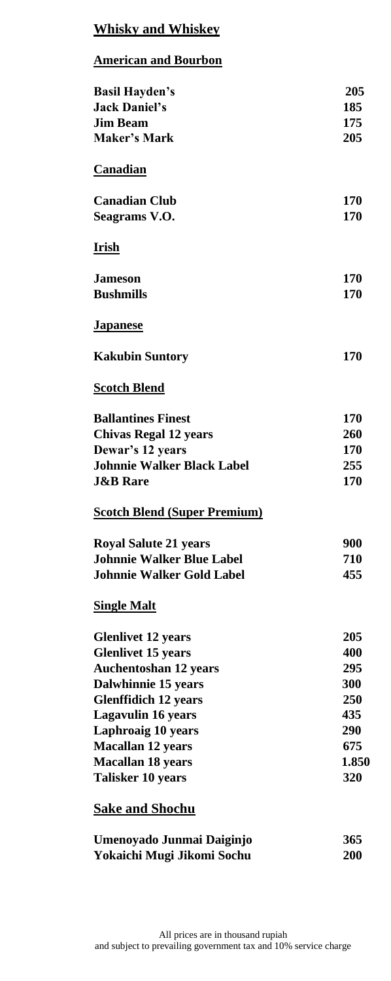## **Whisky and Whiskey**

#### **American and Bourbon**

| <b>Basil Hayden's</b>               | 205   |
|-------------------------------------|-------|
| <b>Jack Daniel's</b>                | 185   |
| <b>Jim Beam</b>                     | 175   |
| <b>Maker's Mark</b>                 | 205   |
|                                     |       |
| Canadian                            |       |
| <b>Canadian Club</b>                | 170   |
| Seagrams V.O.                       | 170   |
| <u>Irish</u>                        |       |
| <b>Jameson</b>                      | 170   |
| <b>Bushmills</b>                    | 170   |
| <b>Japanese</b>                     |       |
| <b>Kakubin Suntory</b>              | 170   |
| <b>Scotch Blend</b>                 |       |
| <b>Ballantines Finest</b>           | 170   |
| <b>Chivas Regal 12 years</b>        | 260   |
| Dewar's 12 years                    | 170   |
| <b>Johnnie Walker Black Label</b>   | 255   |
| <b>J&amp;B</b> Rare                 | 170   |
| <b>Scotch Blend (Super Premium)</b> |       |
| <b>Royal Salute 21 years</b>        | 900   |
| <b>Johnnie Walker Blue Label</b>    | 710   |
| <b>Johnnie Walker Gold Label</b>    | 455   |
| <b>Single Malt</b>                  |       |
| <b>Glenlivet 12 years</b>           | 205   |
| <b>Glenlivet 15 years</b>           | 400   |
| <b>Auchentoshan 12 years</b>        | 295   |
| Dalwhinnie 15 years                 | 300   |
| <b>Glenffidich 12 years</b>         | 250   |
| <b>Lagavulin 16 years</b>           | 435   |
| <b>Laphroaig 10 years</b>           | 290   |
| <b>Macallan 12 years</b>            | 675   |
| <b>Macallan 18 years</b>            | 1.850 |
| Talisker 10 years                   | 320   |
| <b>Sake and Shochu</b>              |       |

| Umenoyado Junmai Daiginjo  | 365 |
|----------------------------|-----|
| Yokaichi Mugi Jikomi Sochu | 200 |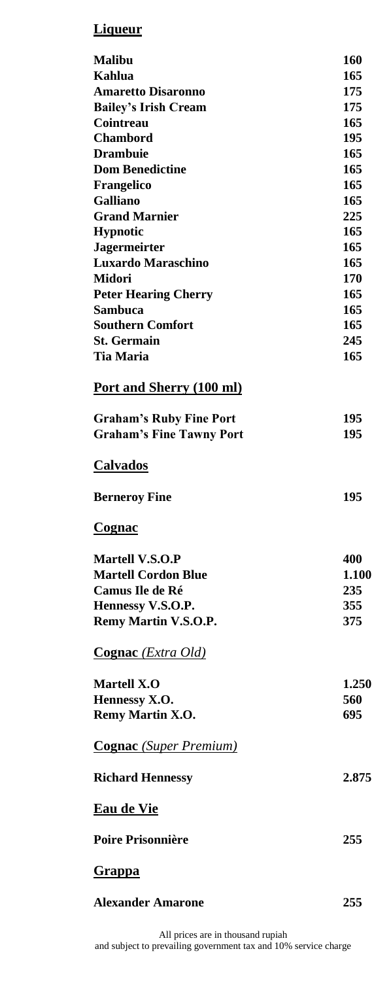# **Liqueur**

| <b>Malibu</b>                      | 160   |
|------------------------------------|-------|
| Kahlua                             | 165   |
| <b>Amaretto Disaronno</b>          | 175   |
| <b>Bailey's Irish Cream</b>        | 175   |
| Cointreau                          | 165   |
| <b>Chambord</b>                    | 195   |
| <b>Drambuie</b>                    | 165   |
| <b>Dom Benedictine</b>             | 165   |
| Frangelico                         | 165   |
| Galliano                           | 165   |
| <b>Grand Marnier</b>               | 225   |
| <b>Hypnotic</b>                    | 165   |
| <b>Jagermeirter</b>                | 165   |
| <b>Luxardo Maraschino</b>          | 165   |
| <b>Midori</b>                      | 170   |
| <b>Peter Hearing Cherry</b>        | 165   |
| Sambuca                            | 165   |
| <b>Southern Comfort</b>            | 165   |
| <b>St. Germain</b>                 | 245   |
| <b>Tia Maria</b>                   | 165   |
|                                    |       |
| Port and Sherry (100 ml)           |       |
| <b>Graham's Ruby Fine Port</b>     | 195   |
| <b>Graham's Fine Tawny Port</b>    | 195   |
|                                    |       |
| <b>Calvados</b>                    |       |
| <b>Berneroy Fine</b>               | 195   |
| Cognac                             |       |
| Martell V.S.O.P                    | 400   |
| <b>Martell Cordon Blue</b>         | 1.100 |
| <b>Camus Ile de Ré</b>             | 235   |
| Hennessy V.S.O.P.                  | 355   |
| Remy Martin V.S.O.P.               | 375   |
|                                    |       |
| <b>Cognac</b> ( <i>Extra Old</i> ) |       |
| <b>Martell X.O</b>                 | 1.250 |
|                                    | 560   |
| Hennessy X.O.<br>Remy Martin X.O.  |       |
|                                    |       |
|                                    | 695   |
| <b>Cognac</b> (Super Premium)      |       |
| <b>Richard Hennessy</b>            | 2.875 |
| <b>Eau de Vie</b>                  |       |
| <b>Poire Prisonnière</b>           | 255   |
| <b>Grappa</b>                      |       |
| <b>Alexander Amarone</b>           | 255   |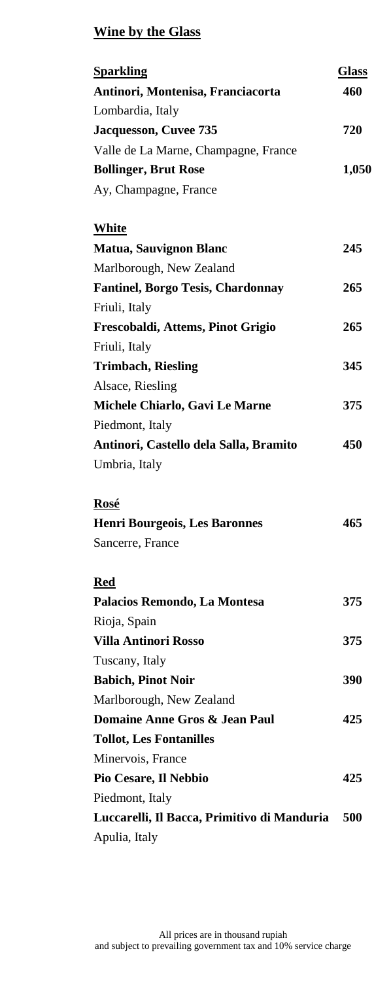# **Wine by the Glass**

| 460<br>Antinori, Montenisa, Franciacorta<br>Lombardia, Italy<br>Jacquesson, Cuvee 735<br>720<br>Valle de La Marne, Champagne, France<br><b>Bollinger, Brut Rose</b><br>1,050<br>Ay, Champagne, France<br>White<br><b>Matua, Sauvignon Blanc</b><br>245<br>Marlborough, New Zealand<br><b>Fantinel, Borgo Tesis, Chardonnay</b><br>265<br>Friuli, Italy<br>265<br>Frescobaldi, Attems, Pinot Grigio<br>Friuli, Italy<br><b>Trimbach, Riesling</b><br>345<br>Alsace, Riesling<br>Michele Chiarlo, Gavi Le Marne<br>375<br>Piedmont, Italy |
|-----------------------------------------------------------------------------------------------------------------------------------------------------------------------------------------------------------------------------------------------------------------------------------------------------------------------------------------------------------------------------------------------------------------------------------------------------------------------------------------------------------------------------------------|
|                                                                                                                                                                                                                                                                                                                                                                                                                                                                                                                                         |
|                                                                                                                                                                                                                                                                                                                                                                                                                                                                                                                                         |
|                                                                                                                                                                                                                                                                                                                                                                                                                                                                                                                                         |
|                                                                                                                                                                                                                                                                                                                                                                                                                                                                                                                                         |
|                                                                                                                                                                                                                                                                                                                                                                                                                                                                                                                                         |
|                                                                                                                                                                                                                                                                                                                                                                                                                                                                                                                                         |
|                                                                                                                                                                                                                                                                                                                                                                                                                                                                                                                                         |
|                                                                                                                                                                                                                                                                                                                                                                                                                                                                                                                                         |
|                                                                                                                                                                                                                                                                                                                                                                                                                                                                                                                                         |
|                                                                                                                                                                                                                                                                                                                                                                                                                                                                                                                                         |
|                                                                                                                                                                                                                                                                                                                                                                                                                                                                                                                                         |
|                                                                                                                                                                                                                                                                                                                                                                                                                                                                                                                                         |
|                                                                                                                                                                                                                                                                                                                                                                                                                                                                                                                                         |
|                                                                                                                                                                                                                                                                                                                                                                                                                                                                                                                                         |
|                                                                                                                                                                                                                                                                                                                                                                                                                                                                                                                                         |
|                                                                                                                                                                                                                                                                                                                                                                                                                                                                                                                                         |
|                                                                                                                                                                                                                                                                                                                                                                                                                                                                                                                                         |
| Antinori, Castello dela Salla, Bramito<br>450                                                                                                                                                                                                                                                                                                                                                                                                                                                                                           |
| Umbria, Italy                                                                                                                                                                                                                                                                                                                                                                                                                                                                                                                           |
|                                                                                                                                                                                                                                                                                                                                                                                                                                                                                                                                         |
| Rosé                                                                                                                                                                                                                                                                                                                                                                                                                                                                                                                                    |
| <b>Henri Bourgeois, Les Baronnes</b><br>465                                                                                                                                                                                                                                                                                                                                                                                                                                                                                             |
| Sancerre, France                                                                                                                                                                                                                                                                                                                                                                                                                                                                                                                        |
| Red                                                                                                                                                                                                                                                                                                                                                                                                                                                                                                                                     |
| Palacios Remondo, La Montesa<br>375                                                                                                                                                                                                                                                                                                                                                                                                                                                                                                     |
| Rioja, Spain                                                                                                                                                                                                                                                                                                                                                                                                                                                                                                                            |
| <b>Villa Antinori Rosso</b><br>375                                                                                                                                                                                                                                                                                                                                                                                                                                                                                                      |
| Tuscany, Italy                                                                                                                                                                                                                                                                                                                                                                                                                                                                                                                          |
| 390<br><b>Babich, Pinot Noir</b>                                                                                                                                                                                                                                                                                                                                                                                                                                                                                                        |
| Marlborough, New Zealand                                                                                                                                                                                                                                                                                                                                                                                                                                                                                                                |
| Domaine Anne Gros & Jean Paul<br>425                                                                                                                                                                                                                                                                                                                                                                                                                                                                                                    |
| <b>Tollot, Les Fontanilles</b>                                                                                                                                                                                                                                                                                                                                                                                                                                                                                                          |
| Minervois, France                                                                                                                                                                                                                                                                                                                                                                                                                                                                                                                       |
| Pio Cesare, Il Nebbio<br>425                                                                                                                                                                                                                                                                                                                                                                                                                                                                                                            |
| Piedmont, Italy                                                                                                                                                                                                                                                                                                                                                                                                                                                                                                                         |
| Luccarelli, Il Bacca, Primitivo di Manduria<br>500                                                                                                                                                                                                                                                                                                                                                                                                                                                                                      |
| Apulia, Italy                                                                                                                                                                                                                                                                                                                                                                                                                                                                                                                           |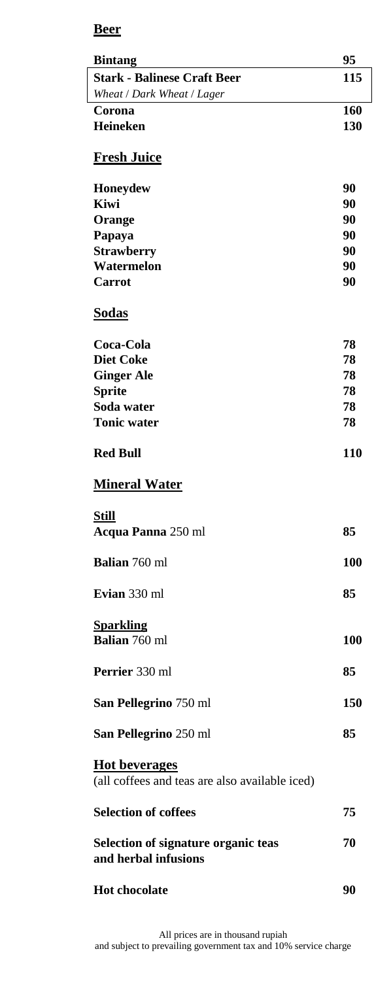## **Beer**

| <b>Bintang</b>                                                         | 95         |
|------------------------------------------------------------------------|------------|
| <b>Stark - Balinese Craft Beer</b>                                     | 115        |
| Wheat / Dark Wheat / Lager                                             |            |
| Corona                                                                 | 160        |
| Heineken                                                               | 130        |
| <b>Fresh Juice</b>                                                     |            |
| Honeydew                                                               | 90         |
| Kiwi                                                                   | 90         |
| Orange                                                                 | 90         |
| Papaya                                                                 | 90         |
| <b>Strawberry</b>                                                      | 90         |
| Watermelon                                                             | 90         |
| Carrot                                                                 | 90         |
| Sodas                                                                  |            |
| Coca-Cola                                                              | 78         |
| <b>Diet Coke</b>                                                       | 78         |
| <b>Ginger Ale</b>                                                      | 78         |
| <b>Sprite</b>                                                          | 78         |
| Soda water                                                             | 78         |
| <b>Tonic water</b>                                                     | 78         |
| <b>Red Bull</b>                                                        | 110        |
| <b>Mineral Water</b>                                                   |            |
| <b>Still</b><br>Acqua Panna 250 ml                                     | 85         |
|                                                                        |            |
| <b>Balian</b> 760 ml                                                   | <b>100</b> |
|                                                                        |            |
| Evian 330 ml                                                           | 85         |
| <b>Sparkling</b><br><b>Balian</b> 760 ml                               | 100        |
|                                                                        |            |
| Perrier 330 ml                                                         | 85         |
| San Pellegrino 750 ml                                                  | 150        |
| San Pellegrino 250 ml                                                  | 85         |
| <b>Hot beverages</b><br>(all coffees and teas are also available iced) |            |
| <b>Selection of coffees</b>                                            | 75         |
| Selection of signature organic teas<br>and herbal infusions            | 70         |
| <b>Hot chocolate</b>                                                   | 90         |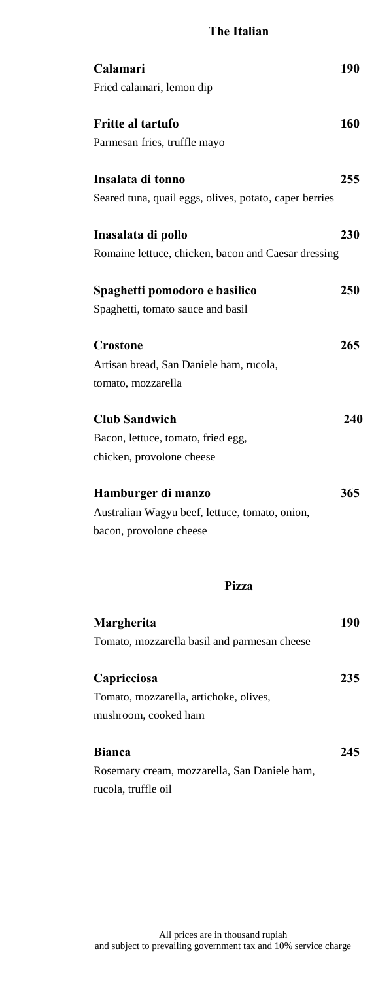#### **The Italian**

| Calamari                                               | 190 |
|--------------------------------------------------------|-----|
| Fried calamari, lemon dip                              |     |
| <b>Fritte al tartufo</b>                               | 160 |
| Parmesan fries, truffle mayo                           |     |
| Insalata di tonno                                      | 255 |
| Seared tuna, quail eggs, olives, potato, caper berries |     |
| Inasalata di pollo                                     | 230 |
| Romaine lettuce, chicken, bacon and Caesar dressing    |     |
| Spaghetti pomodoro e basilico                          | 250 |
| Spaghetti, tomato sauce and basil                      |     |
| Crostone                                               | 265 |
| Artisan bread, San Daniele ham, rucola,                |     |
| tomato, mozzarella                                     |     |
|                                                        |     |
| <b>Club Sandwich</b>                                   | 240 |
| Bacon, lettuce, tomato, fried egg,                     |     |
| chicken, provolone cheese                              |     |
| Hamburger di manzo                                     | 365 |
| Australian Wagyu beef, lettuce, tomato, onion,         |     |
| bacon, provolone cheese                                |     |
|                                                        |     |
| Pizza                                                  |     |
| Margherita                                             | 190 |
| Tomato, mozzarella basil and parmesan cheese           |     |
| Capricciosa                                            | 235 |
| Tomato, mozzarella, artichoke, olives,                 |     |
| mushroom, cooked ham                                   |     |
|                                                        |     |
| <b>Bianca</b>                                          | 245 |
| Rosemary cream, mozzarella, San Daniele ham,           |     |
| rucola, truffle oil                                    |     |